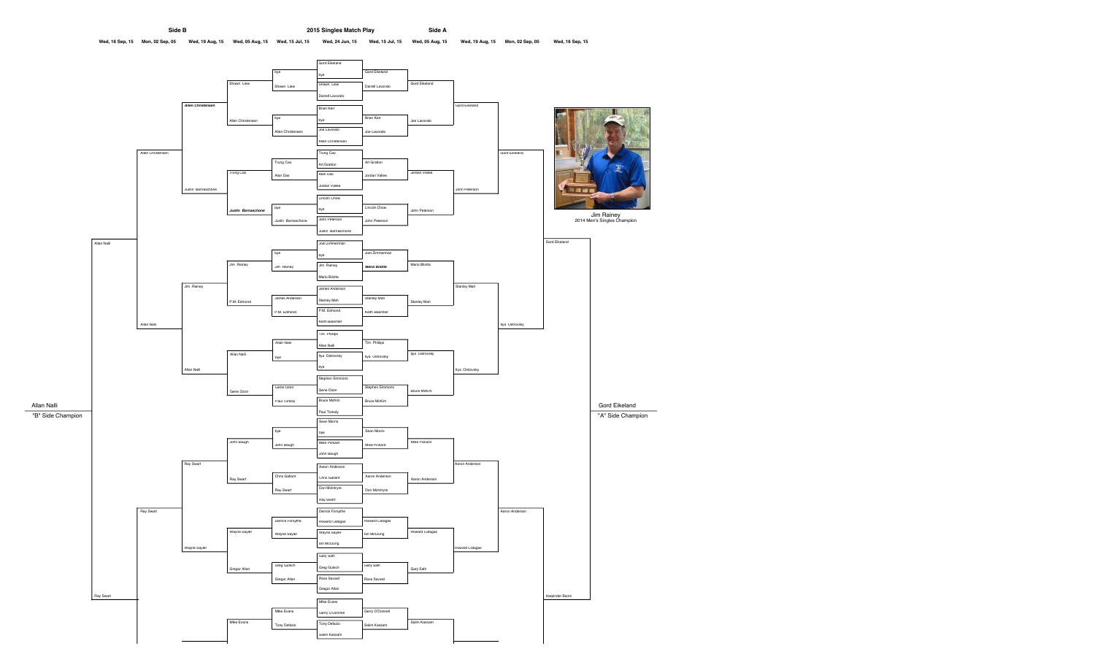

Gord Eikeland Gord Eikeland bye bye Shawn Liew Gord Eikeland Shawn Liew Shawn Liew Darrell Lavorato Darrell Lavorato **Allen Christensen** Gord Eikeland Brian Kerr Brian Kerr bye Allen Christensen bye Joe Lavorato Joe Lavorato Allen Christensen Joe Lavorato Allen Christensen Trung Cao Allen Christensen Gord Eikeland Trung Cao Art Gratton Art Gratton Trung Cao Atan Das Jordan Vallee Atan Das Jordan Vallee Jordan Vallee Justin Barnaschone John Peterson 3000 Lincoln Chow Lincoln Chow bye bye **Justin Barnaschone** John Peterson John Peterson Justin Barnaschone John Peterson Justin Barnaschone Gord Eikeland Allan Nalli Joel Zimmerman Joel Zimmerman bye bye Jim Rainey **Mario Bilotta** Jim Rainey Jim Rainey **Mario Bilotta** Mario Bilotta Stanley Mah Jim Rainey James Anderson James Anderson Stanley Mah P.M. Edmond Stanley Mah Stanley Mah P.M. Edmond P.M. Edmond Keith Baechler Keith Baechler Ilya Ostrovsky Allan Nalli Tim Phillips Tim Phillips Allan Nalli Allan Nalli Ilya Ostrovsky Allan Nalli Ilya Ostrovsky Ilya Ostrovsky bye bye Ilya Ostrovsky Allan Nalli Stephen Simmons Stephen Simmons Gene Ozon Gene Ozon Gene Ozon **Bruce McKim** Bruce McKim Paul Torkoly Bruce McKim Allan Nalli Paul Torkoly "B" Side Champion | "A" Side Champion | "A" Side Champion | "A" Side Champion | "A" Side Champion | "A" Side Champion | "A" Side Champion | "A" Side Champion | "A" Side Champion | "A" Side Champion | "A" Side Champion | "A Sean Morris Sean Morris bye bye John Baugh **Mike Pickard Mike Pickard** John Baugh Mike Pickard John Baugh Ray Swart Aaron Anderson Aaron Anderson Chris Gallant Aaron Anderson Chris Gallant **Ray Swart** Aaron Anderson Don McIntryre Ray Swart Don McIntryre Ray Swart Ray Swart Derrick Forsythe Aaron Anderson **Derrick Forsythe** Howard Catagas Howard Catagas Wayne Sayler Howard Catagas Wayne Sayler lan McClung Wayne Sayler Ian McClung Howard Catagas Wayne Sayler Gary Salh Greg Gutsch Gary Salh Greg Gutsch Gregor Allan Gary Salh Ross Savard Gregor Allan Ross Savard Gregor Allan **Ray Swart** Harpinder Bains **MIke Evans MIke Evans** Gerry O'Donnell Gerry O'Donnell Tony Defazio **MIke Evans** Salim Kassam Tony Defazio Salim Kassam Salim Kassam

Gord Eikeland

Jim Rainey 2014 Men's Singles Champion